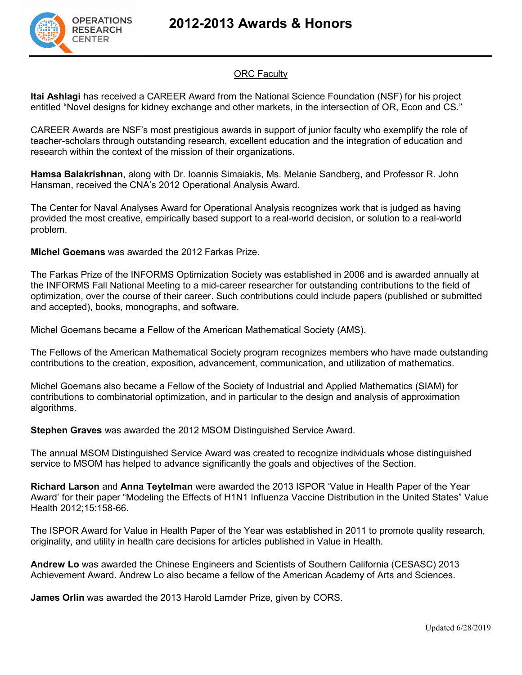

## **ORC Faculty**

**Itai Ashlagi** has received a CAREER Award from the National Science Foundation (NSF) for his project entitled "Novel designs for kidney exchange and other markets, in the intersection of OR, Econ and CS."

CAREER Awards are NSF's most prestigious awards in support of junior faculty who exemplify the role of teacher-scholars through outstanding research, excellent education and the integration of education and research within the context of the mission of their organizations.

**Hamsa Balakrishnan**, along with Dr. Ioannis Simaiakis, Ms. Melanie Sandberg, and Professor R. John Hansman, received the CNA's 2012 Operational Analysis Award.

The Center for Naval Analyses Award for Operational Analysis recognizes work that is judged as having provided the most creative, empirically based support to a real-world decision, or solution to a real-world problem.

**Michel Goemans** was awarded the 2012 Farkas Prize.

The Farkas Prize of the INFORMS Optimization Society was established in 2006 and is awarded annually at the INFORMS Fall National Meeting to a mid-career researcher for outstanding contributions to the field of optimization, over the course of their career. Such contributions could include papers (published or submitted and accepted), books, monographs, and software.

Michel Goemans became a Fellow of the American Mathematical Society (AMS).

The Fellows of the American Mathematical Society program recognizes members who have made outstanding contributions to the creation, exposition, advancement, communication, and utilization of mathematics.

Michel Goemans also became a Fellow of the Society of Industrial and Applied Mathematics (SIAM) for contributions to combinatorial optimization, and in particular to the design and analysis of approximation algorithms.

**Stephen Graves** was awarded the 2012 MSOM Distinguished Service Award.

The annual MSOM Distinguished Service Award was created to recognize individuals whose distinguished service to MSOM has helped to advance significantly the goals and objectives of the Section.

**Richard Larson** and **Anna Teytelman** were awarded the 2013 ISPOR 'Value in Health Paper of the Year Award' for their paper "Modeling the Effects of H1N1 Influenza Vaccine Distribution in the United States" Value Health 2012;15:158-66.

The ISPOR Award for Value in Health Paper of the Year was established in 2011 to promote quality research, originality, and utility in health care decisions for articles published in Value in Health.

**Andrew Lo** was awarded the Chinese Engineers and Scientists of Southern California (CESASC) 2013 Achievement Award. Andrew Lo also became a fellow of the American Academy of Arts and Sciences.

**James Orlin** was awarded the 2013 Harold Larnder Prize, given by CORS.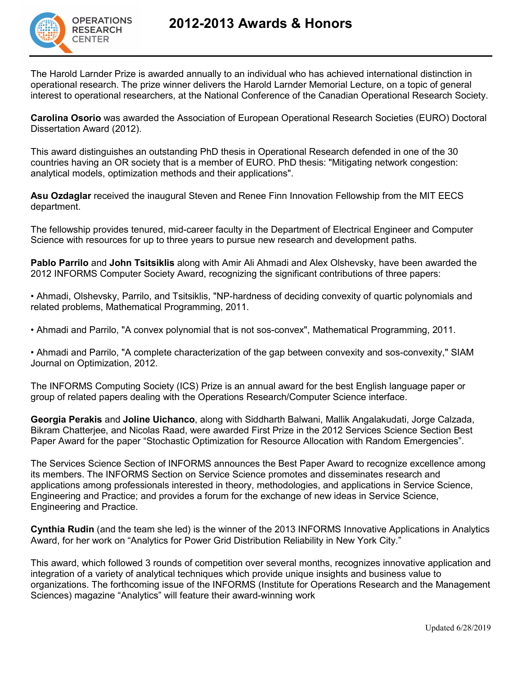

The Harold Larnder Prize is awarded annually to an individual who has achieved international distinction in operational research. The prize winner delivers the Harold Larnder Memorial Lecture, on a topic of general interest to operational researchers, at the National Conference of the Canadian Operational Research Society.

**Carolina Osorio** was awarded the Association of European Operational Research Societies (EURO) Doctoral Dissertation Award (2012).

This award distinguishes an outstanding PhD thesis in Operational Research defended in one of the 30 countries having an OR society that is a member of EURO. PhD thesis: "Mitigating network congestion: analytical models, optimization methods and their applications".

**Asu Ozdaglar** received the inaugural Steven and Renee Finn Innovation Fellowship from the MIT EECS department.

The fellowship provides tenured, mid-career faculty in the Department of Electrical Engineer and Computer Science with resources for up to three years to pursue new research and development paths.

**Pablo Parrilo** and **John Tsitsiklis** along with Amir Ali Ahmadi and Alex Olshevsky, have been awarded the 2012 INFORMS Computer Society Award, recognizing the significant contributions of three papers:

• Ahmadi, Olshevsky, Parrilo, and Tsitsiklis, "NP-hardness of deciding convexity of quartic polynomials and related problems, Mathematical Programming, 2011.

• Ahmadi and Parrilo, "A convex polynomial that is not sos-convex", Mathematical Programming, 2011.

• Ahmadi and Parrilo, "A complete characterization of the gap between convexity and sos-convexity," SIAM Journal on Optimization, 2012.

The INFORMS Computing Society (ICS) Prize is an annual award for the best English language paper or group of related papers dealing with the Operations Research/Computer Science interface.

**Georgia Perakis** and **Joline Uichanco**, along with Siddharth Balwani, Mallik Angalakudati, Jorge Calzada, Bikram Chatterjee, and Nicolas Raad, were awarded First Prize in the 2012 Services Science Section Best Paper Award for the paper "Stochastic Optimization for Resource Allocation with Random Emergencies".

The Services Science Section of INFORMS announces the Best Paper Award to recognize excellence among its members. The INFORMS Section on Service Science promotes and disseminates research and applications among professionals interested in theory, methodologies, and applications in Service Science, Engineering and Practice; and provides a forum for the exchange of new ideas in Service Science, Engineering and Practice.

**Cynthia Rudin** (and the team she led) is the winner of the 2013 INFORMS Innovative Applications in Analytics Award, for her work on "Analytics for Power Grid Distribution Reliability in New York City."

This award, which followed 3 rounds of competition over several months, recognizes innovative application and integration of a variety of analytical techniques which provide unique insights and business value to organizations. The forthcoming issue of the INFORMS (Institute for Operations Research and the Management Sciences) magazine "Analytics" will feature their award-winning work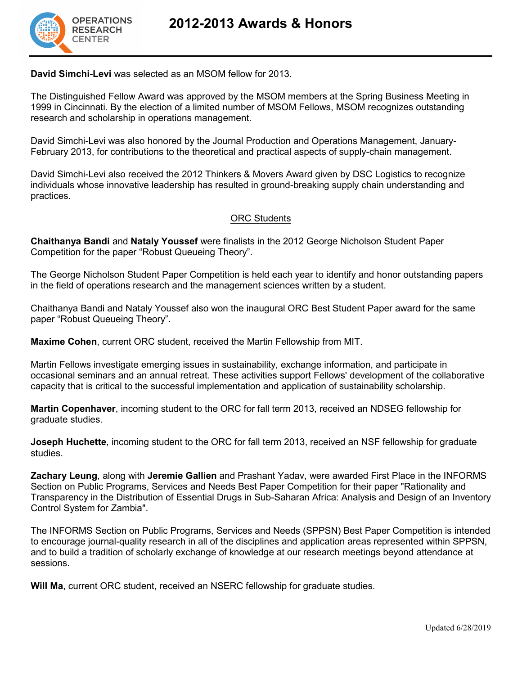

**David Simchi-Levi** was selected as an MSOM fellow for 2013.

The Distinguished Fellow Award was approved by the MSOM members at the Spring Business Meeting in 1999 in Cincinnati. By the election of a limited number of MSOM Fellows, MSOM recognizes outstanding research and scholarship in operations management.

David Simchi-Levi was also honored by the Journal Production and Operations Management, January-February 2013, for contributions to the theoretical and practical aspects of supply-chain management.

David Simchi-Levi also received the 2012 Thinkers & Movers Award given by DSC Logistics to recognize individuals whose innovative leadership has resulted in ground-breaking supply chain understanding and practices.

## ORC Students

**Chaithanya Bandi** and **Nataly Youssef** were finalists in the 2012 George Nicholson Student Paper Competition for the paper "Robust Queueing Theory".

The George Nicholson Student Paper Competition is held each year to identify and honor outstanding papers in the field of operations research and the management sciences written by a student.

Chaithanya Bandi and Nataly Youssef also won the inaugural ORC Best Student Paper award for the same paper "Robust Queueing Theory".

**Maxime Cohen**, current ORC student, received the Martin Fellowship from MIT.

Martin Fellows investigate emerging issues in sustainability, exchange information, and participate in occasional seminars and an annual retreat. These activities support Fellows' development of the collaborative capacity that is critical to the successful implementation and application of sustainability scholarship.

**Martin Copenhaver**, incoming student to the ORC for fall term 2013, received an NDSEG fellowship for graduate studies.

**Joseph Huchette**, incoming student to the ORC for fall term 2013, received an NSF fellowship for graduate studies.

**Zachary Leung**, along with **Jeremie Gallien** and Prashant Yadav, were awarded First Place in the INFORMS Section on Public Programs, Services and Needs Best Paper Competition for their paper "Rationality and Transparency in the Distribution of Essential Drugs in Sub-Saharan Africa: Analysis and Design of an Inventory Control System for Zambia".

The INFORMS Section on Public Programs, Services and Needs (SPPSN) Best Paper Competition is intended to encourage journal-quality research in all of the disciplines and application areas represented within SPPSN, and to build a tradition of scholarly exchange of knowledge at our research meetings beyond attendance at sessions.

**Will Ma**, current ORC student, received an NSERC fellowship for graduate studies.